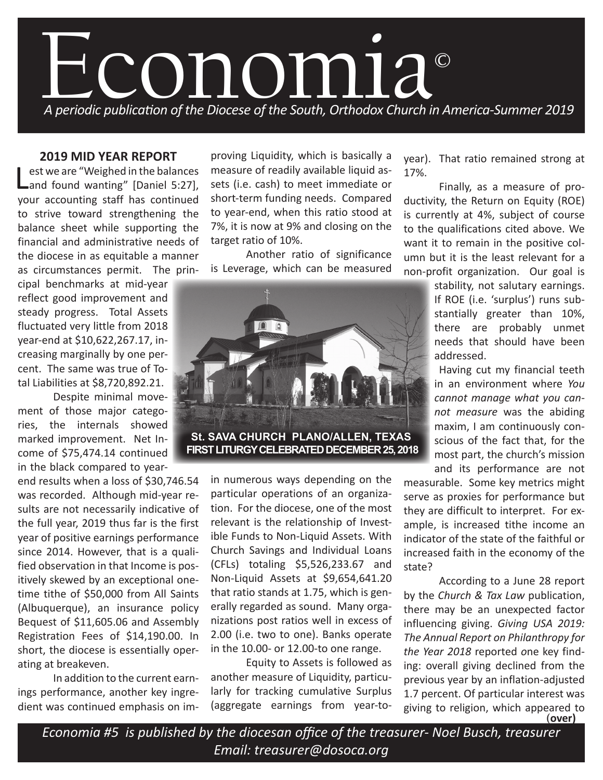

## **2019 MID YEAR REPORT**

est we are "Weighed in the balances<br>
and found wanting" [Daniel 5:27], your accounting staff has continued to strive toward strengthening the balance sheet while supporting the financial and administrative needs of the diocese in as equitable a manner as circumstances permit. The prin-

cipal benchmarks at mid-year reflect good improvement and steady progress. Total Assets fluctuated very little from 2018 year-end at \$10,622,267.17, increasing marginally by one percent. The same was true of Total Liabilities at \$8,720,892.21.

Despite minimal movement of those major categories, the internals showed marked improvement. Net Income of \$75,474.14 continued in the black compared to year-

end results when a loss of \$30,746.54 was recorded. Although mid-year results are not necessarily indicative of the full year, 2019 thus far is the first year of positive earnings performance since 2014. However, that is a qualified observation in that Income is positively skewed by an exceptional onetime tithe of \$50,000 from All Saints (Albuquerque), an insurance policy Bequest of \$11,605.06 and Assembly Registration Fees of \$14,190.00. In short, the diocese is essentially operating at breakeven.

In addition to the current earnings performance, another key ingredient was continued emphasis on improving Liquidity, which is basically a measure of readily available liquid assets (i.e. cash) to meet immediate or short-term funding needs. Compared to year-end, when this ratio stood at 7%, it is now at 9% and closing on the target ratio of 10%.

Another ratio of significance is Leverage, which can be measured



in numerous ways depending on the particular operations of an organization. For the diocese, one of the most relevant is the relationship of Investible Funds to Non-Liquid Assets. With Church Savings and Individual Loans (CFLs) totaling \$5,526,233.67 and Non-Liquid Assets at \$9,654,641.20 that ratio stands at 1.75, which is generally regarded as sound. Many organizations post ratios well in excess of 2.00 (i.e. two to one). Banks operate in the 10.00- or 12.00-to one range.

Equity to Assets is followed as another measure of Liquidity, particularly for tracking cumulative Surplus (aggregate earnings from year-toyear). That ratio remained strong at 17%.

Finally, as a measure of productivity, the Return on Equity (ROE) is currently at 4%, subject of course to the qualifications cited above. We want it to remain in the positive column but it is the least relevant for a non-profit organization. Our goal is

> stability, not salutary earnings. If ROE (i.e. 'surplus') runs substantially greater than 10%, there are probably unmet needs that should have been addressed.

> Having cut my financial teeth in an environment where *You cannot manage what you cannot measure* was the abiding maxim, I am continuously conscious of the fact that, for the most part, the church's mission and its performance are not

measurable. Some key metrics might serve as proxies for performance but they are difficult to interpret. For example, is increased tithe income an indicator of the state of the faithful or increased faith in the economy of the state?

According to a June 28 report by the *Church & Tax Law* publication, there may be an unexpected factor influencing giving. *Giving USA 2019: The Annual Report on Philanthropy for the Year 2018* reported *o*ne key finding: overall giving declined from the previous year by an inflation-adjusted 1.7 percent. Of particular interest was giving to religion, which appeared to<br>**(over) (over)**

*Economia #5 is published by the diocesan office of the treasurer- Noel Busch, treasurer Email: treasurer@dosoca.org*